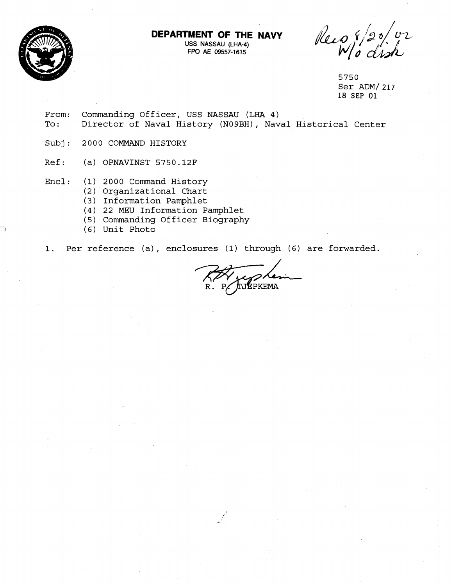**DEPARTMENT OF THE NAVY** 



**USS NASSAU (LHA-4) FPO AE 09557-1615** 

Recog

5750 Ser ADM/ 217 18 **SEP 01** 

From: Commanding Officer, USS NASSAU (LHA 4)<br>To: Director of Naval History (N09BH), Nav Director of Naval History (NO9BH), Naval Historical Center

Subj: 2000 COMMAND HISTORY

Ref : (a) OPNAVINST **5750.12F** 

- Encl: (1) **2000** Command History
	- **(2)** Organizational Chart
	- (3) Information Pamphlet
	- (4) **22** MEU Information Pamphlet
	- (5) Commanding Officer Biography
	- (6) Unit Photo

1. Per reference (a) , enclosures (1) through (6) are forwarded.

P. TJEPKEMA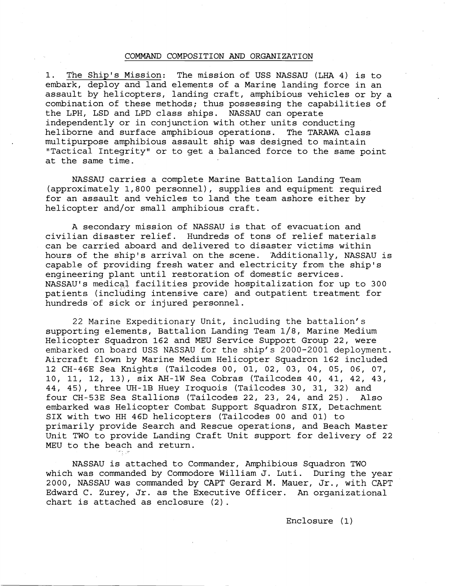## COMMAND COMPOSITION AND ORGANIZATION

1. The Ship's Mission: The mission of USS NASSAU (LHA 4) is to embark, deploy and land elements of a Marine landing force in an assault by helicopters, landing craft, amphibious vehicles or by a combination of these methods; thus possessing the capabilities of the LPH, LSD and LPD class ships. NASSAU can operate independently or in conjunction with other units conducting heliborne and surface amphibious operations. The TARAWA class multipurpose amphibious assault ship was designed to maintain "Tactical Integrity" or to get a balanced force to the same point at the same time.

NASSAU carries a complete Marine Battalion Landing Team (approximately 1,800 personnel), supplies and equipment required for an assault and vehicles to land the team ashore either by helicopter and/or small amphibious craft.

A secondary mission of NASSAU is that of evacuation and civilian disaster relief. Hundreds of tons of relief materials can be carried aboard and delivered to disaster victims within hours of the ship's arrival on the scene. 'Additionally, NASSAU is capable of providing fresh water and electricity from the ship's engineering plant until restoration of domestic services. NASSAU'S medical facilities provide hospitalization for up to 300 patients (including intensive care) and outpatient treatment for hundreds'of sick or injured personnel.

22 Marine Expeditionary Unit, including the battalion's supporting elements, Battalion Landing Team 1/8, Marine Medium Helicopter Squadron 162 and MEU Service Support Group 22, were embarked on board USS NASSAU for the ship's 2000-2001 deployment. Aircraft flown by Marine Medium Helicopter Squadron 162 included 12 CH-46E Sea Knights (Tailcodes 00, 01, 02, 03, 04, 05, 06, 07, 10, 11, 12, 13), six AH-1W Sea Cobras (Tailcodes 40, 41, 42, 43, 44, 45), three **UH-1B** Huey Iroquois (Tailcodes 30, 31, 32) and four CH-53E Sea Stallions (Tailcodes 22, 23, 24, and 25). Also embarked was Helicopter Combat Support Squadron SIX, Detachment SIX with two HH 46D helicopters (Tailcodes 00 and 01) to primarily provide Search and Rescue operations, and Beach Master Unit TWO to provide Landing Craft Unit support for delivery of 22 MEU to the beach and return.

NASSAU is attached to Commander, Amphibious Squadron TWO which was commanded by Commodore William J. Luti. During the year 2000, NASSAU was commanded by CAPT Gerard M. Mauer, Jr., with CAPT Edward C. Zurey, Jr. as the Executive Officer. An organizational chart is attached as enclosure (2).

Enclosure (1)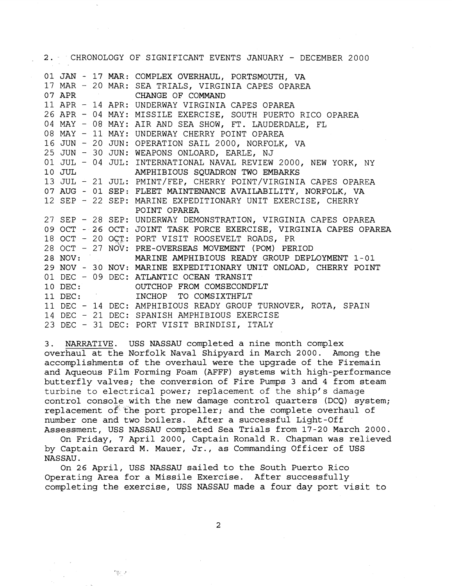| 2. CHRONOLOGY OF SIGNIFICANT EVENTS JANUARY - DECEMBER 2000 |  |  |  |                                                                   |
|-------------------------------------------------------------|--|--|--|-------------------------------------------------------------------|
|                                                             |  |  |  | 01 JAN - 17 MAR: COMPLEX OVERHAUL, PORTSMOUTH, VA                 |
|                                                             |  |  |  | 17 MAR - 20 MAR: SEA TRIALS, VIRGINIA CAPES OPAREA                |
|                                                             |  |  |  | 07 APR CHANGE OF COMMAND                                          |
|                                                             |  |  |  | 11 APR - 14 APR: UNDERWAY VIRGINIA CAPES OPAREA                   |
|                                                             |  |  |  | 26 APR - 04 MAY: MISSILE EXERCISE, SOUTH PUERTO RICO OPAREA       |
|                                                             |  |  |  | 04 MAY - 08 MAY: AIR AND SEA SHOW, FT. LAUDERDALE, FL             |
|                                                             |  |  |  | 08 MAY - 11 MAY: UNDERWAY CHERRY POINT OPAREA                     |
|                                                             |  |  |  | 16 JUN - 20 JUN: OPERATION SAIL 2000, NORFOLK, VA                 |
|                                                             |  |  |  | 25 JUN - 30 JUN: WEAPONS ONLOARD, EARLE, NJ                       |
|                                                             |  |  |  | 01 JUL - 04 JUL: INTERNATIONAL NAVAL REVIEW 2000, NEW YORK, NY    |
|                                                             |  |  |  | 10 JUL AMPHIBIOUS SQUADRON TWO EMBARKS                            |
|                                                             |  |  |  | 13 JUL - 21 JUL: PMINT/FEP, CHERRY POINT/VIRGINIA CAPES OPAREA    |
|                                                             |  |  |  | 07 AUG - 01 SEP: FLEET MAINTENANCE AVAILABILITY, NORFOLK, VA      |
|                                                             |  |  |  | 12 SEP - 22 SEP: MARINE EXPEDITIONARY UNIT EXERCISE, CHERRY       |
|                                                             |  |  |  | POINT OPAREA                                                      |
|                                                             |  |  |  | 27 SEP - 28 SEP: UNDERWAY DEMONSTRATION, VIRGINIA CAPES OPAREA    |
|                                                             |  |  |  | 09 OCT - 26 OCT: JOINT TASK FORCE EXERCISE, VIRGINIA CAPES OPAREA |
|                                                             |  |  |  | 18 OCT - 20 OCT: PORT VISIT ROOSEVELT ROADS, PR                   |
|                                                             |  |  |  | 28 OCT - 27 NOV: PRE-OVERSEAS MOVEMENT (POM) PERIOD               |
|                                                             |  |  |  | 28 NOV: MARINE AMPHIBIOUS READY GROUP DEPLOYMENT 1-01             |
|                                                             |  |  |  | 29 NOV - 30 NOV: MARINE EXPEDITIONARY UNIT ONLOAD, CHERRY POINT   |
|                                                             |  |  |  | 01 DEC - 09 DEC: ATLANTIC OCEAN TRANSIT                           |
|                                                             |  |  |  | 10 DEC: OUTCHOP FROM COMSECONDFLT                                 |
|                                                             |  |  |  | 11 DEC: INCHOP TO COMSIXTHFLT                                     |
|                                                             |  |  |  | 11 DEC - 14 DEC: AMPHIBIOUS READY GROUP TURNOVER, ROTA, SPAIN     |
|                                                             |  |  |  | 14 DEC - 21 DEC: SPANISH AMPHIBIOUS EXERCISE                      |
|                                                             |  |  |  | 23 DEC - 31 DEC: PORT VISIT BRINDISI, ITALY                       |

3. NARRATIVE. USS NASSAU completed a nine month complex overhaul at the Norfolk Naval Shipyard in March 2000. Among the accomplishments of the overhaul were the upgrade of the Firemain and Aqueous Film Forming Foam (AFFF) systems with high-performance butterfly valves; the conversion of Fire Pumps 3 and 4 from steam turbine to electrical power; replacement of the ship's damage control console with the new damage control quarters (DCQ) system; replacement of the port propeller; and the complete overhaul of number one and two boilers. After a successful Light-Off Assessment, USS NASSAU completed Sea Trials from 17-20 March 2000.

On Friday, 7 April 2000, Captain Ronald R. Chapman was relieved by Captain Gerard M. Mauer, Jr., as Commanding Officer of USS NASSAU.

On 26 April, USS NASSAU sailed to the South Puerto Rico Operating Area for a Missile Exercise. After successfully completing the exercise, **USS NASSAU** made a four day port visit to

得行之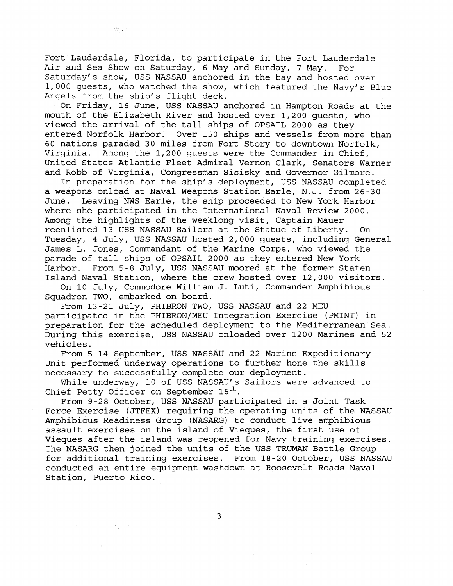Fort Lauderdale, Florida, to participate in the Fort Lauderdale Air and Sea Show on Saturday, 6 May and Sunday, 7 May. For Saturday's show, USS NASSAU anchored in the bay and hosted over 1,000 guests, who watched the show, which featured the Navy's Blue Angels from the ship's flight deck.

On Friday, 16 June, USS NASSAU anchored in Hampton Roads at the mouth of the Elizabeth River and hosted over 1,200 guests, who viewed the arrival of the tall ships of OPSAIL 2000 as they entered Norfolk Harbor. Over 150 ships and vessels from more than 60 nations paraded 30 miles from Fort Story to downtown Norfolk, Virginia. Among the 1,200 guests were the Commander in Chief, United States Atlantic Fleet Admiral Vernon Clark, Senators Warner and Robb of Virginia, Congressman Sisisky and Governor Gilmore.

In preparation for the ship's deployment, USS NASSAU completed a weapons onload at Naval Weapons Station Earle, N.J. from 26-30 June. Leaving NWS Earle, the ship proceeded to New York Harbor where she participated in the International Naval Review 2000. Among the highlights of the weeklong visit, Captain Mauer reenlisted 13 USS NASSAU Sailors at the Statue of Liberty. On Tuesday, 4 July, USS NASSAU hosted 2,000 guests, including General James L. Jones, Commandant of the Marine Corps, who viewed the parade of tall ships of OPSAIL 2000 as they entered New York Harbor. From 5-8 July, USS NASSAU moored at the former Staten Island Naval Station, where the crew hosted over 12,000 visitors.

On 10 July, Commodore William J. Luti, Commander Amphibious Squadron TWO, embarked on board.

From 13-21 July, PHIBRON TWO, USS NASSAU and 22 MEU participated in the PHIBRON/MEU Integration Exercise (PMINT) in preparation for the scheduled deployment to the Mediterranean Sea. During this exercise, USS NASSAU onloaded over 1200 Marines and 52 vehicles.

From 5-14 September, USS NASSAU and 22 Marine Expeditionary Unit performed underway operations to further hone the skills necessary to successfully complete our deployment.

While underway, 10 of USS NASSAU'S Sailors were advanced to Chief Petty Officer on September  $16<sup>th</sup>$ .

From 9-28 October, USS NASSAU participated in a Joint Task Force Exercise (JTFEX) requiring the operating units of the NASSAU Amphibious Readiness Group (NASARG) to conduct live amphibious assault exercises on the island of Vieques, the first use of Vieques after the island was reopened for Navy training exercises. The NASARG then joined the units of the USS TRUMAN Battle Group for additional training exercises. From 18-20 October, USS NASSAU conducted an entire equipment washdown at Roosevelt Roads Naval Station, Puerto Rico.

ragion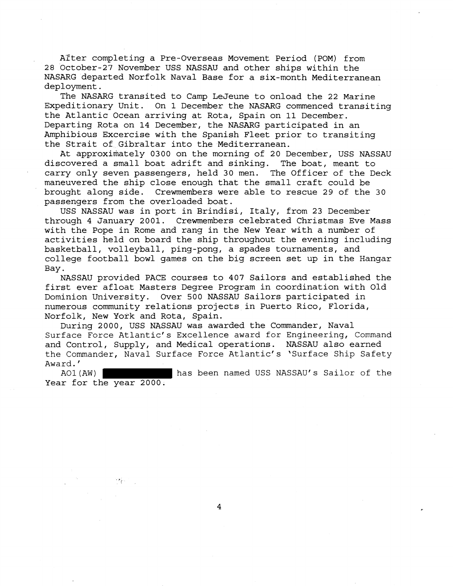After completing a Pre-Overseas Movement Period (POM) from 28 October-27 November USS NASSAU and other ships within the NASARG departed Norfolk Naval Base for a six-month Mediterranean deployment.

The NASARG transited to Camp LeJeune to onload the 22 Marine Expeditionary Unit. On 1 December the NASARG commenced transiting the Atlantic Ocean arriving at Rota, Spain on 11 December. Departing Rota on 14 December, the NASARG participated in an Amphibious Excercise with the Spanish Fleet prior to transiting the Strait of Gibraltar into the Mediterranean.

At approximately 0300 on the morning of 20 December, USS NASSAU discovered a small boat adrift and sinking. The boat, meant to carry only seven passengers, held 30 men. The Officer of the Deck maneuvered the ship close enough that the small craft could be brought along side. Crewmembers were able to rescue 29 of the 30 passengers from the overloaded boat.

USS NASSAU was in port in Brindisi, Italy, from 23 December through 4 January 2001. Crewmembers celebrated Christmas Eve Mass with the Pope in Rome and rang in the New Year with a number of activities held on board the ship throughout the evening including basketball, volleyball, ping-pong, a spades tournaments, and college football bowl games on the big screen set up in the Hangar Bay.

NASSAU provided PACE courses to 407 Sailors and established the first ever afloat Masters Degree Program in coordination with Old Dominion University. Over 500 NASSAU Sailors participated in numerous community relations projects in Puerto Rico, Florida, Norfolk, New York and Rota, Spain.

During 2000, USS NASSAU was awarded the Commander, Naval Surface Force Atlantic's Excellence award for Engineering, Command and Control, Supply, and Medical operations. NASSAU also earned the Commander, Naval Surface Force Atlantic's 'Surface Ship Safety Award.'<br>AO1(AW)

has been named USS NASSAU's Sailor of the Year for the year 2000.

 $\overline{4}$